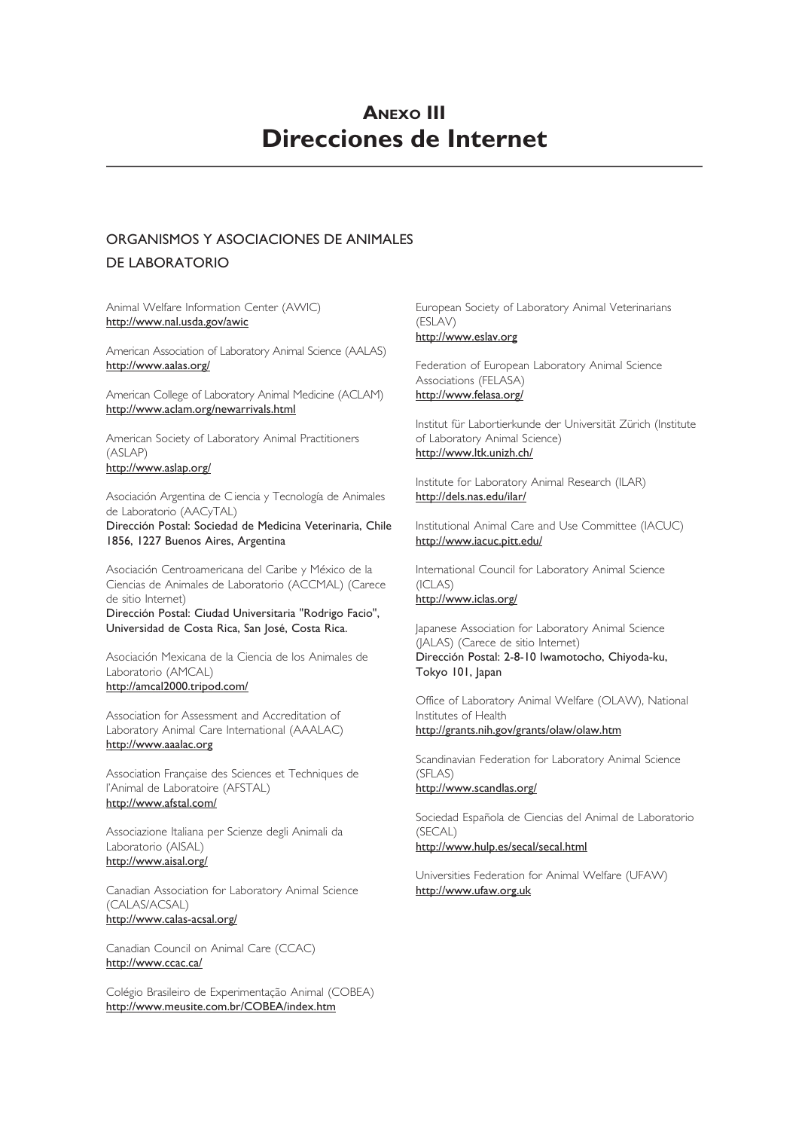# **ANEXO III Direcciones de Internet**

### ORGANISMOS Y ASOCIACIONES DE ANIMALES DE LABORATORIO

Animal Welfare Information Center (AWIC) http://www.nal.usda.gov/awic

American Association of Laboratory Animal Science (AALAS) http://www.aalas.org/

American College of Laboratory Animal Medicine (ACLAM) http://www.aclam.org/newarrivals.html

American Society of Laboratory Animal Practitioners (ASLAP) http://www.aslap.org/

Asociación Argentina de C iencia y Tecnología de Animales de Laboratorio (AACyTAL)

Dirección Postal: Sociedad de Medicina Veterinaria, Chile 1856, 1227 Buenos Aires, Argentina

Asociación Centroamericana del Caribe y México de la Ciencias de Animales de Laboratorio (ACCMAL) (Carece de sitio Internet) Dirección Postal: Ciudad Universitaria "Rodrigo Facio", Universidad de Costa Rica, San José, Costa Rica.

Asociación Mexicana de la Ciencia de los Animales de Laboratorio (AMCAL) http://amcal2000.tripod.com/

Association for Assessment and Accreditation of Laboratory Animal Care International (AAALAC) http://www.aaalac.org

Association Française des Sciences et Techniques de l'Animal de Laboratoire (AFSTAL) http://www.afstal.com/

Associazione Italiana per Scienze degli Animali da Laboratorio (AISAL) http://www.aisal.org/

Canadian Association for Laboratory Animal Science (CALAS/ACSAL) http://www.calas-acsal.org/

Canadian Council on Animal Care (CCAC) http://www.ccac.ca/

Colégio Brasileiro de Experimentação Animal (COBEA) http://www.meusite.com.br/COBEA/index.htm

European Society of Laboratory Animal Veterinarians (ESLAV) http://www.eslav.org

Federation of European Laboratory Animal Science Associations (FELASA) http://www.felasa.org/

Institut für Labortierkunde der Universität Zürich (Institute of Laboratory Animal Science) http://www.ltk.unizh.ch/

Institute for Laboratory Animal Research (ILAR) http://dels.nas.edu/ilar/

Institutional Animal Care and Use Committee (IACUC) http://www.iacuc.pitt.edu/

International Council for Laboratory Animal Science (ICLAS) http://www.iclas.org/

Japanese Association for Laboratory Animal Science (JALAS) (Carece de sitio Internet) Dirección Postal: 2-8-10 Iwamotocho, Chiyoda-ku, Tokyo 101, Japan

Office of Laboratory Animal Welfare (OLAW), National Institutes of Health http://grants.nih.gov/grants/olaw/olaw.htm

Scandinavian Federation for Laboratory Animal Science (SFLAS)

http://www.scandlas.org/

Sociedad Española de Ciencias del Animal de Laboratorio (SECAL)

http://www.hulp.es/secal/secal.html

Universities Federation for Animal Welfare (UFAW) http://www.ufaw.org.uk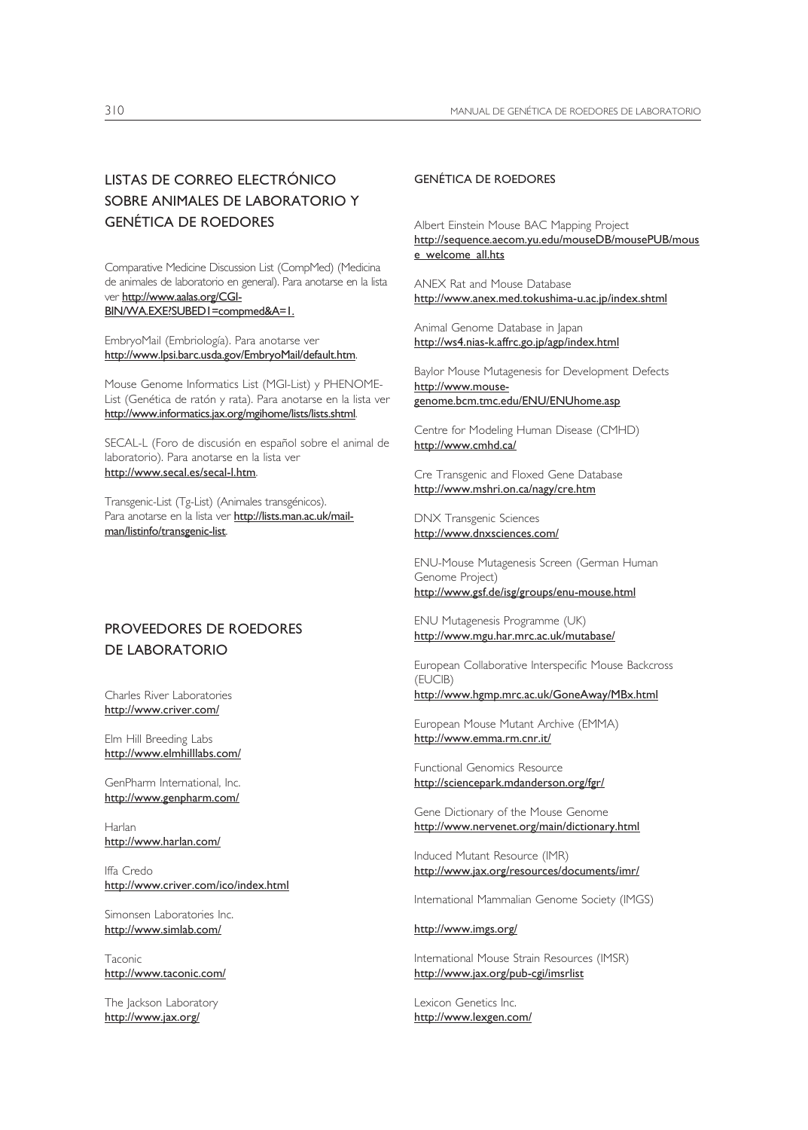## LISTAS DE CORREO ELECTRÓNICO SOBRE ANIMALES DE LABORATORIO Y GENÉTICA DE ROEDORES

Comparative Medicine Discussion List (CompMed) (Medicina de animales de laboratorio en general). Para anotarse en la lista ver http://www.aalas.org/CGI-BIN/WA.EXE?SUBED1=compmed&A=1.

EmbryoMail (Embriología). Para anotarse ver http://www.lpsi.barc.usda.gov/EmbryoMail/default.htm.

Mouse Genome Informatics List (MGI-List) y PHENOME-List (Genética de ratón y rata). Para anotarse en la lista ver http://www.informatics.jax.org/mgihome/lists/lists.shtml.

SECAL-L (Foro de discusión en español sobre el animal de laboratorio). Para anotarse en la lista ver http://www.secal.es/secal-l.htm.

Transgenic-List (Tg-List) (Animales transgénicos). Para anotarse en la lista ver http://lists.man.ac.uk/mailman/listinfo/transgenic-list.

### PROVEEDORES DE ROEDORES DE LABORATORIO

Charles River Laboratories http://www.criver.com/

Elm Hill Breeding Labs http://www.elmhilllabs.com/

GenPharm International, Inc. http://www.genpharm.com/

Harlan http://www.harlan.com/

Iffa Credo http://www.criver.com/ico/index.html

Simonsen Laboratories Inc. http://www.simlab.com/

Taconic http://www.taconic.com/

The Jackson Laboratory http://www.jax.org/

#### GENÉTICA DE ROEDORES

Albert Einstein Mouse BAC Mapping Project http://sequence.aecom.yu.edu/mouseDB/mousePUB/mous e\_welcome\_all.hts

ANEX Rat and Mouse Database http://www.anex.med.tokushima-u.ac.jp/index.shtml

Animal Genome Database in Japan http://ws4.nias-k.affrc.go.jp/agp/index.html

Baylor Mouse Mutagenesis for Development Defects http://www.mousegenome.bcm.tmc.edu/ENU/ENUhome.asp

Centre for Modeling Human Disease (CMHD) http://www.cmhd.ca/

Cre Transgenic and Floxed Gene Database http://www.mshri.on.ca/nagy/cre.htm

DNX Transgenic Sciences http://www.dnxsciences.com/

ENU-Mouse Mutagenesis Screen (German Human Genome Project) http://www.gsf.de/isg/groups/enu-mouse.html

ENU Mutagenesis Programme (UK) http://www.mgu.har.mrc.ac.uk/mutabase/

European Collaborative Interspecific Mouse Backcross (EUCIB)

http://www.hgmp.mrc.ac.uk/GoneAway/MBx.html

European Mouse Mutant Archive (EMMA) http://www.emma.rm.cnr.it/

Functional Genomics Resource http://sciencepark.mdanderson.org/fgr/

Gene Dictionary of the Mouse Genome http://www.nervenet.org/main/dictionary.html

Induced Mutant Resource (IMR) http://www.jax.org/resources/documents/imr/

International Mammalian Genome Society (IMGS)

http://www.imgs.org/

International Mouse Strain Resources (IMSR) http://www.jax.org/pub-cgi/imsrlist

Lexicon Genetics Inc. http://www.lexgen.com/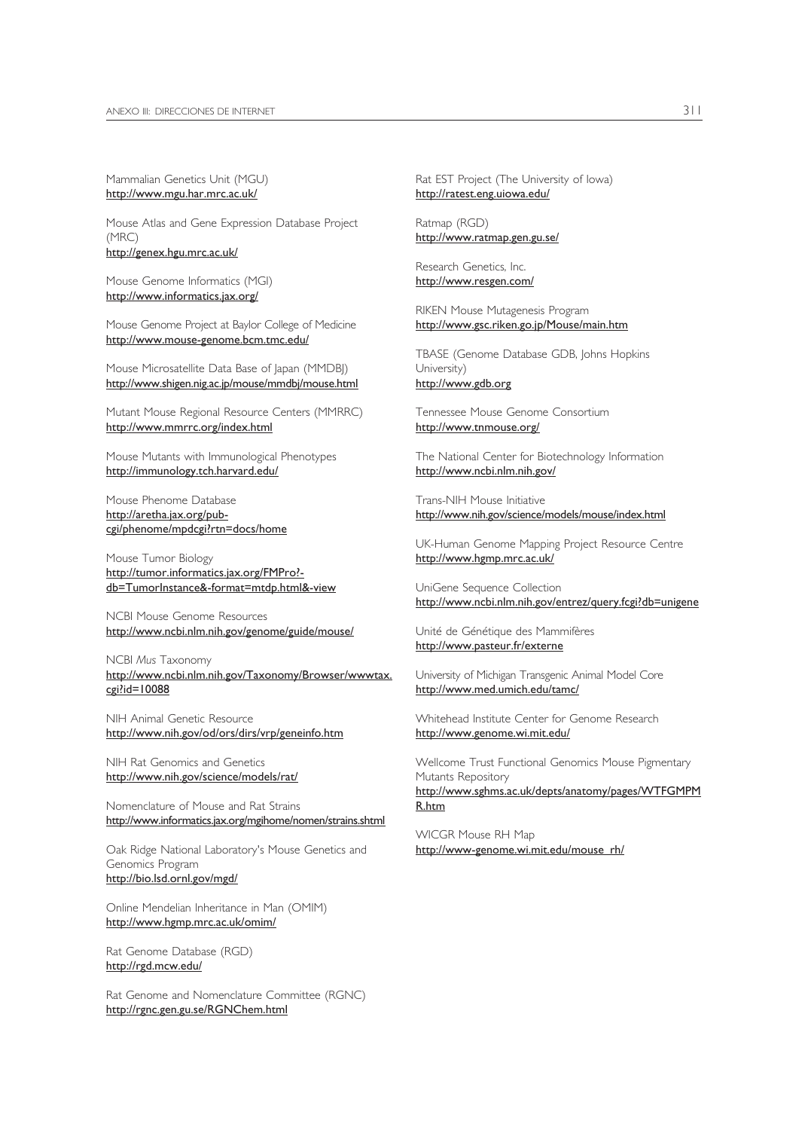Mammalian Genetics Unit (MGU) http://www.mgu.har.mrc.ac.uk/

Mouse Atlas and Gene Expression Database Project (MRC) http://genex.hgu.mrc.ac.uk/

Mouse Genome Informatics (MGI) http://www.informatics.jax.org/

Mouse Genome Project at Baylor College of Medicine http://www.mouse-genome.bcm.tmc.edu/

Mouse Microsatellite Data Base of Japan (MMDBJ) http://www.shigen.nig.ac.jp/mouse/mmdbj/mouse.html

Mutant Mouse Regional Resource Centers (MMRRC) http://www.mmrrc.org/index.html

Mouse Mutants with Immunological Phenotypes http://immunology.tch.harvard.edu/

Mouse Phenome Database http://aretha.jax.org/pubcgi/phenome/mpdcgi?rtn=docs/home

Mouse Tumor Biology http://tumor.informatics.jax.org/FMPro? db=TumorInstance&-format=mtdp.html&-view

NCBI Mouse Genome Resources http://www.ncbi.nlm.nih.gov/genome/guide/mouse/

NCBI *Mus* Taxonomy http://www.ncbi.nlm.nih.gov/Taxonomy/Browser/wwwtax. cgi?id=10088

NIH Animal Genetic Resource http://www.nih.gov/od/ors/dirs/vrp/geneinfo.htm

NIH Rat Genomics and Genetics http://www.nih.gov/science/models/rat/

Nomenclature of Mouse and Rat Strains http://www.informatics.jax.org/mgihome/nomen/strains.shtml

Oak Ridge National Laboratory's Mouse Genetics and Genomics Program http://bio.lsd.ornl.gov/mgd/

Online Mendelian Inheritance in Man (OMIM) http://www.hgmp.mrc.ac.uk/omim/

Rat Genome Database (RGD) http://rgd.mcw.edu/

Rat Genome and Nomenclature Committee (RGNC) http://rgnc.gen.gu.se/RGNChem.html

Rat EST Project (The University of Iowa) http://ratest.eng.uiowa.edu/

Ratmap (RGD) http://www.ratmap.gen.gu.se/

Research Genetics, Inc. http://www.resgen.com/

RIKEN Mouse Mutagenesis Program http://www.gsc.riken.go.jp/Mouse/main.htm

TBASE (Genome Database GDB, Johns Hopkins University) http://www.gdb.org

Tennessee Mouse Genome Consortium http://www.tnmouse.org/

The National Center for Biotechnology Information http://www.ncbi.nlm.nih.gov/

Trans-NIH Mouse Initiative http://www.nih.gov/science/models/mouse/index.html

UK-Human Genome Mapping Project Resource Centre http://www.hgmp.mrc.ac.uk/

UniGene Sequence Collection http://www.ncbi.nlm.nih.gov/entrez/query.fcgi?db=unigene

Unité de Génétique des Mammifères http://www.pasteur.fr/externe

University of Michigan Transgenic Animal Model Core http://www.med.umich.edu/tamc/

Whitehead Institute Center for Genome Research http://www.genome.wi.mit.edu/

Wellcome Trust Functional Genomics Mouse Pigmentary Mutants Repository http://www.sghms.ac.uk/depts/anatomy/pages/WTFGMPM R.htm

WICGR Mouse RH Map http://www-genome.wi.mit.edu/mouse\_rh/